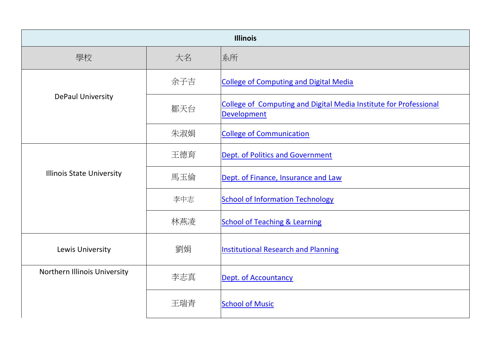| <b>Illinois</b>                  |     |                                                                                         |
|----------------------------------|-----|-----------------------------------------------------------------------------------------|
| 學校                               | 大名  | 系所                                                                                      |
|                                  | 余子吉 | <b>College of Computing and Digital Media</b>                                           |
| <b>DePaul University</b>         | 鄒天台 | College of Computing and Digital Media Institute for Professional<br><b>Development</b> |
|                                  | 朱淑娟 | <b>College of Communication</b>                                                         |
|                                  | 王德育 | Dept. of Politics and Government                                                        |
| <b>Illinois State University</b> | 馬玉倫 | Dept. of Finance, Insurance and Law                                                     |
|                                  | 李中志 | <b>School of Information Technology</b>                                                 |
|                                  | 林燕凌 | <b>School of Teaching &amp; Learning</b>                                                |
| Lewis University                 | 劉娟  | <b>Institutional Research and Planning</b>                                              |
| Northern Illinois University     | 李志真 | <b>Dept. of Accountancy</b>                                                             |
|                                  | 王瑞青 | <b>School of Music</b>                                                                  |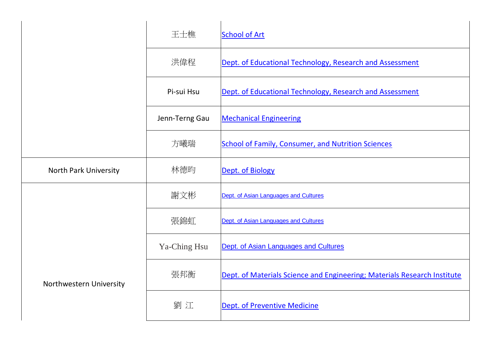|                              | 王士樵            | <b>School of Art</b>                                                     |
|------------------------------|----------------|--------------------------------------------------------------------------|
|                              | 洪偉程            | Dept. of Educational Technology, Research and Assessment                 |
|                              | Pi-sui Hsu     | Dept. of Educational Technology, Research and Assessment                 |
|                              | Jenn-Terng Gau | <b>Mechanical Engineering</b>                                            |
|                              | 方曦瑞            | <b>School of Family, Consumer, and Nutrition Sciences</b>                |
| <b>North Park University</b> | 林德昀            | Dept. of Biology                                                         |
|                              | 謝文彬            | Dept. of Asian Languages and Cultures                                    |
|                              | 張錦虹            | Dept. of Asian Languages and Cultures                                    |
|                              | Ya-Ching Hsu   | Dept. of Asian Languages and Cultures                                    |
| Northwestern University      | 張邦衡            | Dept. of Materials Science and Engineering; Materials Research Institute |
|                              | 劉江             | Dept. of Preventive Medicine                                             |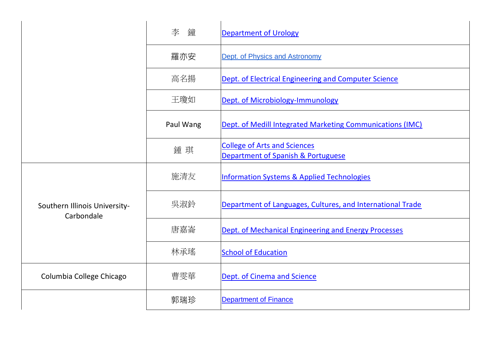|                                             | 李<br>鐘    | <b>Department of Urology</b>                                              |
|---------------------------------------------|-----------|---------------------------------------------------------------------------|
|                                             | 羅亦安       | Dept. of Physics and Astronomy                                            |
|                                             | 高名揚       | Dept. of Electrical Engineering and Computer Science                      |
|                                             | 王瓊如       | Dept. of Microbiology-Immunology                                          |
|                                             | Paul Wang | Dept. of Medill Integrated Marketing Communications (IMC)                 |
|                                             | 鍾琪        | <b>College of Arts and Sciences</b><br>Department of Spanish & Portuguese |
|                                             | 施清友       | <b>Information Systems &amp; Applied Technologies</b>                     |
| Southern Illinois University-<br>Carbondale | 吳淑鈴       | Department of Languages, Cultures, and International Trade                |
|                                             | 唐嘉崙       | Dept. of Mechanical Engineering and Energy Processes                      |
|                                             | 林承瑤       | <b>School of Education</b>                                                |
| Columbia College Chicago                    | 曹雯華       | Dept. of Cinema and Science                                               |
|                                             | 郭瑞珍       | <b>Department of Finance</b>                                              |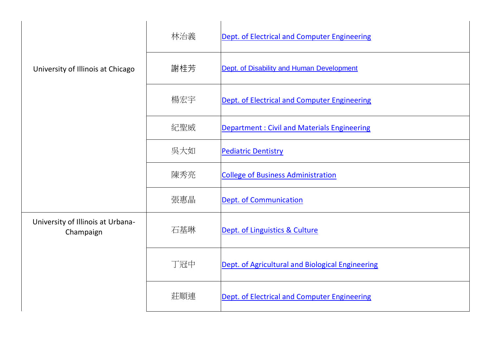|                                                | 林治義 | Dept. of Electrical and Computer Engineering       |
|------------------------------------------------|-----|----------------------------------------------------|
| University of Illinois at Chicago              | 謝桂芳 | Dept. of Disability and Human Development          |
|                                                | 楊宏宇 | Dept. of Electrical and Computer Engineering       |
|                                                | 紀聖威 | <b>Department: Civil and Materials Engineering</b> |
|                                                | 吳大如 | <b>Pediatric Dentistry</b>                         |
|                                                | 陳秀亮 | <b>College of Business Administration</b>          |
|                                                | 張惠晶 | <b>Dept. of Communication</b>                      |
| University of Illinois at Urbana-<br>Champaign | 石基琳 | Dept. of Linguistics & Culture                     |
|                                                | 丁冠中 | Dept. of Agricultural and Biological Engineering   |
|                                                | 莊順連 | Dept. of Electrical and Computer Engineering       |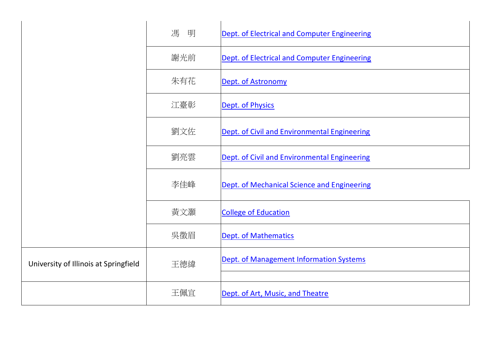|                                       | 馮<br>明 | Dept. of Electrical and Computer Engineering |
|---------------------------------------|--------|----------------------------------------------|
|                                       | 謝光前    | Dept. of Electrical and Computer Engineering |
|                                       | 朱有花    | Dept. of Astronomy                           |
|                                       | 江臺彰    | Dept. of Physics                             |
|                                       | 劉文佐    | Dept. of Civil and Environmental Engineering |
|                                       | 劉亮雲    | Dept. of Civil and Environmental Engineering |
|                                       | 李佳峰    | Dept. of Mechanical Science and Engineering  |
|                                       | 黃文灝    | <b>College of Education</b>                  |
|                                       | 吳徵眉    | Dept. of Mathematics                         |
| University of Illinois at Springfield | 王德緯    | Dept. of Management Information Systems      |
|                                       |        |                                              |
|                                       | 王佩宜    | Dept. of Art, Music, and Theatre             |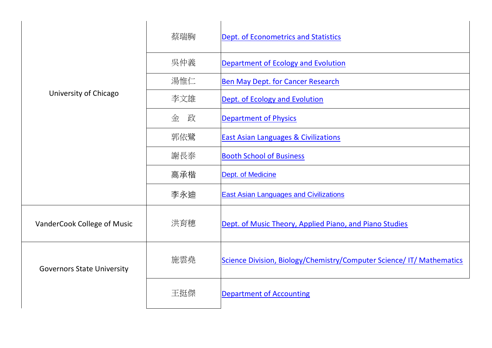|                                   | 蔡瑞胸    | <b>Dept. of Econometrics and Statistics</b>                           |
|-----------------------------------|--------|-----------------------------------------------------------------------|
|                                   | 吳仲義    | Department of Ecology and Evolution                                   |
|                                   | 湯惟仁    | Ben May Dept. for Cancer Research                                     |
| University of Chicago             | 李文雄    | Dept. of Ecology and Evolution                                        |
|                                   | 金<br>政 | <b>Department of Physics</b>                                          |
|                                   | 郭依鷺    | <b>East Asian Languages &amp; Civilizations</b>                       |
|                                   | 謝長泰    | <b>Booth School of Business</b>                                       |
|                                   | 高承楷    | Dept. of Medicine                                                     |
|                                   | 李永迪    | <b>East Asian Languages and Civilizations</b>                         |
| VanderCook College of Music       | 洪育穗    | Dept. of Music Theory, Applied Piano, and Piano Studies               |
| <b>Governors State University</b> | 施雲堯    | Science Division, Biology/Chemistry/Computer Science/ IT/ Mathematics |
|                                   | 王挺傑    | <b>Department of Accounting</b>                                       |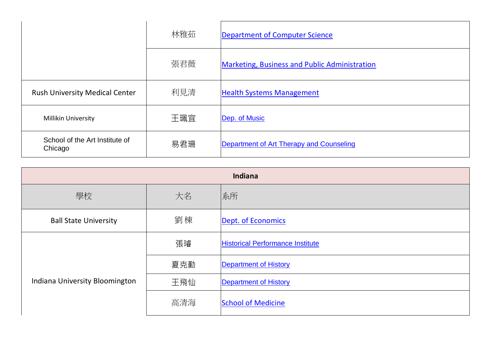|                                           | 林雅茹 | Department of Computer Science                       |
|-------------------------------------------|-----|------------------------------------------------------|
|                                           | 張君薇 | <b>Marketing, Business and Public Administration</b> |
| <b>Rush University Medical Center</b>     | 利見清 | <b>Health Systems Management</b>                     |
| <b>Millikin University</b>                | 王珮宜 | Dep. of Music                                        |
| School of the Art Institute of<br>Chicago | 易君珊 | Department of Art Therapy and Counseling             |

| Indiana                        |     |                                         |
|--------------------------------|-----|-----------------------------------------|
| 學校                             | 大名  | 系所                                      |
| <b>Ball State University</b>   | 劉棟  | Dept. of Economics                      |
|                                | 張璿  | <b>Historical Performance Institute</b> |
|                                | 夏克勤 | <b>Department of History</b>            |
| Indiana University Bloomington | 王飛仙 | <b>Department of History</b>            |
|                                | 高清海 | <b>School of Medicine</b>               |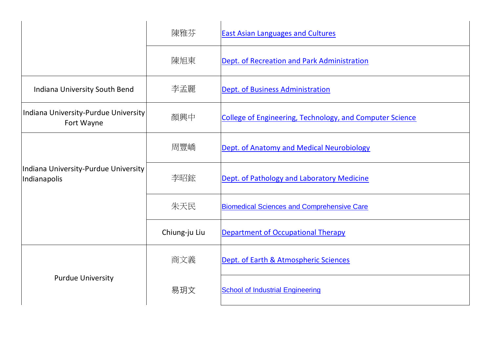|                                                      | 陳雅芬           | <b>East Asian Languages and Cultures</b>                 |
|------------------------------------------------------|---------------|----------------------------------------------------------|
|                                                      | 陳旭東           | Dept. of Recreation and Park Administration              |
| Indiana University South Bend                        | 李孟麗           | Dept. of Business Administration                         |
| Indiana University-Purdue University<br>Fort Wayne   | 顏興中           | College of Engineering, Technology, and Computer Science |
| Indiana University-Purdue University<br>Indianapolis | 周豐嶠           | Dept. of Anatomy and Medical Neurobiology                |
|                                                      | 李昭鋐           | Dept. of Pathology and Laboratory Medicine               |
|                                                      | 朱天民           | <b>Biomedical Sciences and Comprehensive Care</b>        |
|                                                      | Chiung-ju Liu | <b>Department of Occupational Therapy</b>                |
|                                                      | 商文義           | Dept. of Earth & Atmospheric Sciences                    |
| <b>Purdue University</b>                             | 易玥文           | <b>School of Industrial Engineering</b>                  |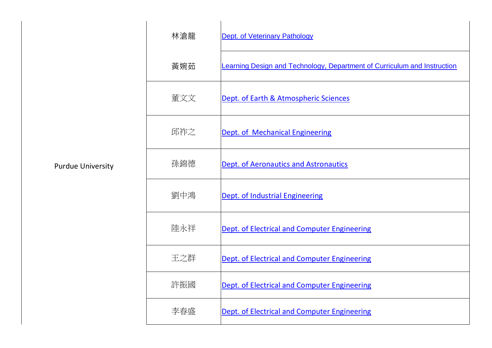|                          | 林滄龍 | <b>Dept. of Veterinary Pathology</b>                                     |
|--------------------------|-----|--------------------------------------------------------------------------|
|                          | 黃婉茹 | Learning Design and Technology, Department of Curriculum and Instruction |
|                          | 董文文 | Dept. of Earth & Atmospheric Sciences                                    |
|                          | 邱祚之 | Dept. of Mechanical Engineering                                          |
| <b>Purdue University</b> | 孫錦德 | <b>Dept. of Aeronautics and Astronautics</b>                             |
|                          | 劉中鴻 | Dept. of Industrial Engineering                                          |
|                          | 陸永祥 | Dept. of Electrical and Computer Engineering                             |
|                          | 王之群 | Dept. of Electrical and Computer Engineering                             |
|                          | 許振國 | Dept. of Electrical and Computer Engineering                             |
|                          | 李春盛 | Dept. of Electrical and Computer Engineering                             |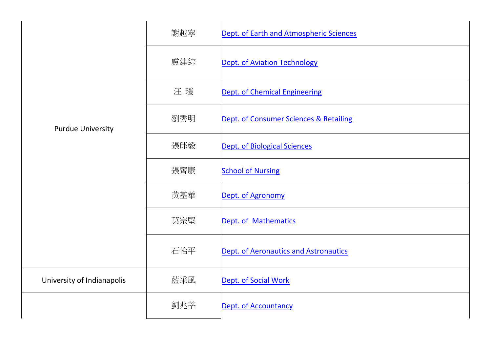|                            | 謝越寧 | Dept. of Earth and Atmospheric Sciences      |
|----------------------------|-----|----------------------------------------------|
|                            | 盧建綜 | Dept. of Aviation Technology                 |
|                            | 汪瑗  | Dept. of Chemical Engineering                |
| <b>Purdue University</b>   | 劉秀明 | Dept. of Consumer Sciences & Retailing       |
|                            | 張邱毅 | <b>Dept. of Biological Sciences</b>          |
|                            | 張齊康 | <b>School of Nursing</b>                     |
|                            | 黃基華 | Dept. of Agronomy                            |
|                            | 莫宗堅 | Dept. of Mathematics                         |
|                            | 石怡平 | <b>Dept. of Aeronautics and Astronautics</b> |
| University of Indianapolis | 藍采風 | Dept. of Social Work                         |
|                            | 劉兆莘 | Dept. of Accountancy                         |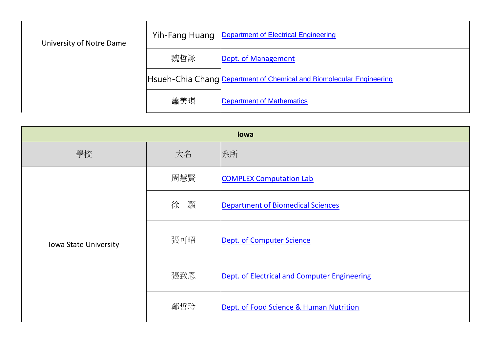| University of Notre Dame | Yih-Fang Huang | <b>Department of Electrical Engineering</b>                          |
|--------------------------|----------------|----------------------------------------------------------------------|
|                          | 魏哲詠            | Dept. of Management                                                  |
|                          |                | Hsueh-Chia Chang Department of Chemical and Biomolecular Engineering |
|                          | 蕭美琪            | <b>Department of Mathematics</b>                                     |

| lowa                  |        |                                              |
|-----------------------|--------|----------------------------------------------|
| 學校                    | 大名     | 系所                                           |
|                       | 周慧賢    | <b>COMPLEX Computation Lab</b>               |
| Iowa State University | 徐<br>灝 | <b>Department of Biomedical Sciences</b>     |
|                       | 張可昭    | Dept. of Computer Science                    |
|                       | 張致恩    | Dept. of Electrical and Computer Engineering |
|                       | 鄭哲玲    | Dept. of Food Science & Human Nutrition      |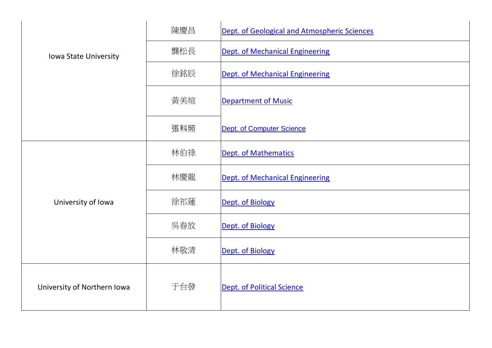|                             | 陳慶昌 | Dept. of Geological and Atmospheric Sciences |
|-----------------------------|-----|----------------------------------------------|
| Iowa State University       | 龔松長 | <b>Dept. of Mechanical Engineering</b>       |
|                             | 徐銘辰 | Dept. of Mechanical Engineering              |
|                             | 黃美瑄 | <b>Department of Music</b>                   |
|                             | 張科照 | <b>Dept. of Computer Science</b>             |
|                             | 林伯祿 | <b>Dept. of Mathematics</b>                  |
|                             | 林慶龍 | Dept. of Mechanical Engineering              |
| University of Iowa          | 徐祁蓮 | Dept. of Biology                             |
|                             | 吳春放 | Dept. of Biology                             |
|                             | 林敬清 | Dept. of Biology                             |
| University of Northern Iowa | 于台發 | <b>Dept. of Political Science</b>            |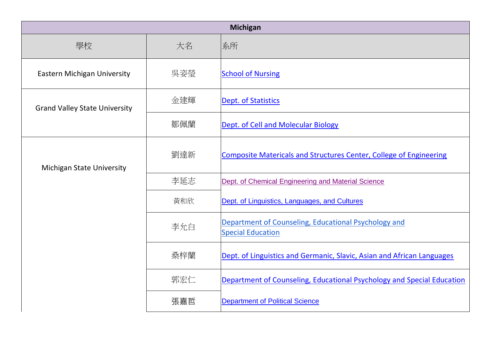| <b>Michigan</b>                      |     |                                                                                  |
|--------------------------------------|-----|----------------------------------------------------------------------------------|
| 學校                                   | 大名  | 系所                                                                               |
| <b>Eastern Michigan University</b>   | 吳姿瑩 | <b>School of Nursing</b>                                                         |
| <b>Grand Valley State University</b> | 金建輝 | Dept. of Statistics                                                              |
|                                      | 鄒佩蘭 | Dept. of Cell and Molecular Biology                                              |
| <b>Michigan State University</b>     | 劉達新 | <b>Composite Matericals and Structures Center, College of Engineering</b>        |
|                                      | 李延志 | Dept. of Chemical Engineering and Material Science                               |
|                                      | 黃和欣 | Dept. of Linguistics, Languages, and Cultures                                    |
|                                      | 李允白 | Department of Counseling, Educational Psychology and<br><b>Special Education</b> |
|                                      | 桑梓蘭 | Dept. of Linguistics and Germanic, Slavic, Asian and African Languages           |
|                                      | 郭宏仁 | Department of Counseling, Educational Psychology and Special Education           |
|                                      | 張嘉哲 | <b>Department of Political Science</b>                                           |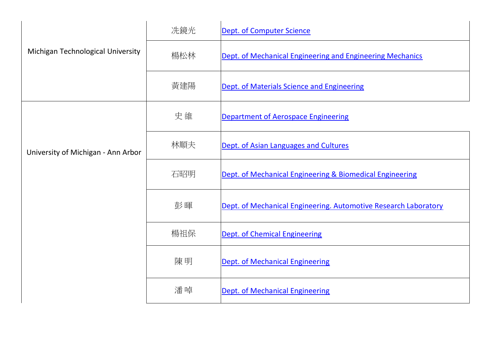|                                    | 冼鏡光 | Dept. of Computer Science                                       |
|------------------------------------|-----|-----------------------------------------------------------------|
| Michigan Technological University  | 楊松林 | Dept. of Mechanical Engineering and Engineering Mechanics       |
|                                    | 黃建陽 | Dept. of Materials Science and Engineering                      |
|                                    | 史維  | <b>Department of Aerospace Engineering</b>                      |
| University of Michigan - Ann Arbor | 林順夫 | Dept. of Asian Languages and Cultures                           |
|                                    | 石昭明 | Dept. of Mechanical Engineering & Biomedical Engineering        |
|                                    | 彭暉  | Dept. of Mechanical Engineering. Automotive Research Laboratory |
|                                    | 楊祖保 | <b>Dept. of Chemical Engineering</b>                            |
|                                    | 陳明  | Dept. of Mechanical Engineering                                 |
|                                    | 潘啅  | <b>Dept. of Mechanical Engineering</b>                          |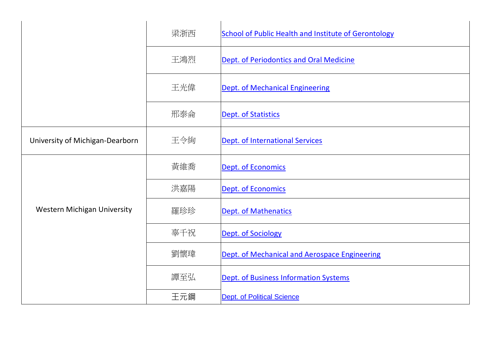|                                    | 梁浙西 | <b>School of Public Health and Institute of Gerontology</b> |
|------------------------------------|-----|-------------------------------------------------------------|
|                                    | 王鴻烈 | Dept. of Periodontics and Oral Medicine                     |
|                                    | 王光偉 | Dept. of Mechanical Engineering                             |
|                                    | 邢泰侖 | <b>Dept. of Statistics</b>                                  |
| University of Michigan-Dearborn    | 王令絢 | Dept. of International Services                             |
|                                    | 黃維喬 | Dept. of Economics                                          |
|                                    | 洪嘉陽 | Dept. of Economics                                          |
| <b>Western Michigan University</b> | 羅珍珍 | Dept. of Mathenatics                                        |
|                                    | 辜千祝 | <b>Dept. of Sociology</b>                                   |
|                                    | 劉懷瑋 | Dept. of Mechanical and Aerospace Engineering               |
|                                    | 譚至弘 | Dept. of Business Information Systems                       |
|                                    | 王元鋼 | <b>Dept. of Political Science</b>                           |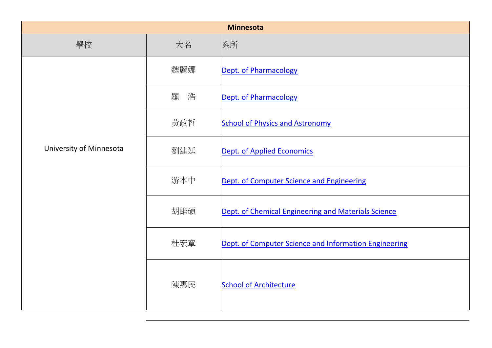| <b>Minnesota</b>        |        |                                                       |
|-------------------------|--------|-------------------------------------------------------|
| 學校                      | 大名     | 系所                                                    |
|                         | 魏麗娜    | Dept. of Pharmacology                                 |
|                         | 羅<br>浩 | Dept. of Pharmacology                                 |
|                         | 黃政哲    | <b>School of Physics and Astronomy</b>                |
| University of Minnesota | 劉建廷    | Dept. of Applied Economics                            |
|                         | 游本中    | Dept. of Computer Science and Engineering             |
|                         | 胡維碩    | Dept. of Chemical Engineering and Materials Science   |
|                         | 杜宏章    | Dept. of Computer Science and Information Engineering |
|                         | 陳惠民    | <b>School of Architecture</b>                         |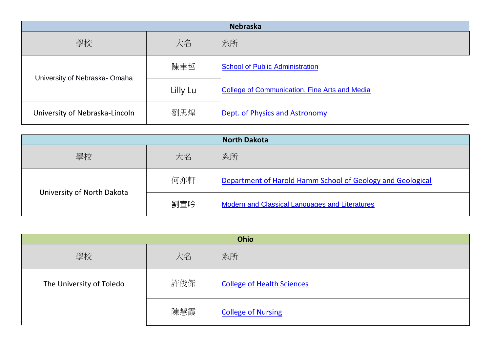| <b>Nebraska</b>                |          |                                                      |
|--------------------------------|----------|------------------------------------------------------|
| 學校                             | 大名       | 系所                                                   |
| University of Nebraska-Omaha   | 陳聿哲      | <b>School of Public Administration</b>               |
|                                | Lilly Lu | <b>College of Communication, Fine Arts and Media</b> |
| University of Nebraska-Lincoln | 劉思煌      | Dept. of Physics and Astronomy                       |

|                            |     | <b>North Dakota</b>                                        |
|----------------------------|-----|------------------------------------------------------------|
| 學校                         | 大名  | 系所                                                         |
| University of North Dakota | 何亦軒 | Department of Harold Hamm School of Geology and Geological |
|                            | 劉宣吟 | <b>Modern and Classical Languages and Literatures</b>      |

| Ohio                     |     |                                   |
|--------------------------|-----|-----------------------------------|
| 學校                       | 大名  | 系所                                |
| The University of Toledo | 許俊傑 | <b>College of Health Sciences</b> |
|                          | 陳慧霞 | <b>College of Nursing</b>         |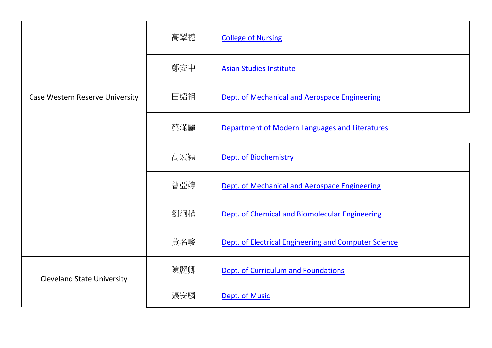|                                   | 高翠穗 | <b>College of Nursing</b>                            |
|-----------------------------------|-----|------------------------------------------------------|
|                                   | 鄭安中 | <b>Asian Studies Institute</b>                       |
| Case Western Reserve University   | 田紹祖 | Dept. of Mechanical and Aerospace Engineering        |
|                                   | 蔡滿麗 | Department of Modern Languages and Literatures       |
|                                   | 高宏穎 | Dept. of Biochemistry                                |
|                                   | 曾亞婷 | Dept. of Mechanical and Aerospace Engineering        |
|                                   | 劉炯權 | Dept. of Chemical and Biomolecular Engineering       |
|                                   | 黃名畯 | Dept. of Electrical Engineering and Computer Science |
| <b>Cleveland State University</b> | 陳麗卿 | Dept. of Curriculum and Foundations                  |
|                                   | 張安麟 | Dept. of Music                                       |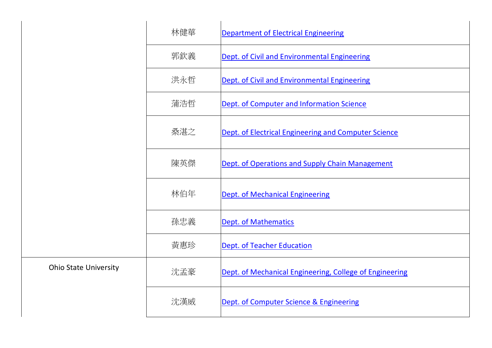|                              | 林健華 | <b>Department of Electrical Engineering</b>             |
|------------------------------|-----|---------------------------------------------------------|
|                              | 郭欽義 | Dept. of Civil and Environmental Engineering            |
|                              | 洪永哲 | Dept. of Civil and Environmental Engineering            |
|                              | 蒲浩哲 | Dept. of Computer and Information Science               |
|                              | 桑湛之 | Dept. of Electrical Engineering and Computer Science    |
|                              | 陳英傑 | Dept. of Operations and Supply Chain Management         |
|                              | 林伯年 | <b>Dept. of Mechanical Engineering</b>                  |
|                              | 孫忠義 | <b>Dept. of Mathematics</b>                             |
|                              | 黃惠珍 | <b>Dept. of Teacher Education</b>                       |
| <b>Ohio State University</b> | 沈孟豪 | Dept. of Mechanical Engineering, College of Engineering |
|                              | 沈漢威 | Dept. of Computer Science & Engineering                 |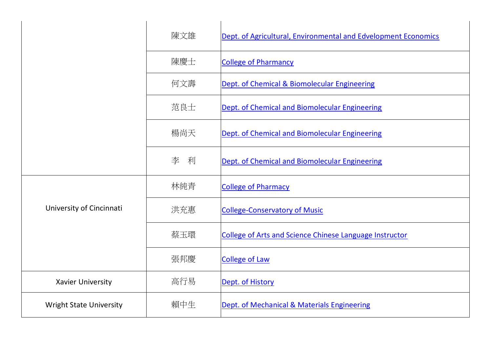|                                | 陳文雄    | Dept. of Agricultural, Environmental and Edvelopment Economics |
|--------------------------------|--------|----------------------------------------------------------------|
|                                | 陳慶士    | <b>College of Pharmancy</b>                                    |
|                                | 何文壽    | Dept. of Chemical & Biomolecular Engineering                   |
|                                | 范良士    | Dept. of Chemical and Biomolecular Engineering                 |
|                                | 楊尚天    | Dept. of Chemical and Biomolecular Engineering                 |
|                                | 李<br>利 | Dept. of Chemical and Biomolecular Engineering                 |
|                                | 林純青    | <b>College of Pharmacy</b>                                     |
| University of Cincinnati       | 洪充惠    | <b>College-Conservatory of Music</b>                           |
|                                | 蔡玉環    | <b>College of Arts and Science Chinese Language Instructor</b> |
|                                | 張邦慶    | <b>College of Law</b>                                          |
| <b>Xavier University</b>       | 高行易    | Dept. of History                                               |
| <b>Wright State University</b> | 賴中生    | Dept. of Mechanical & Materials Engineering                    |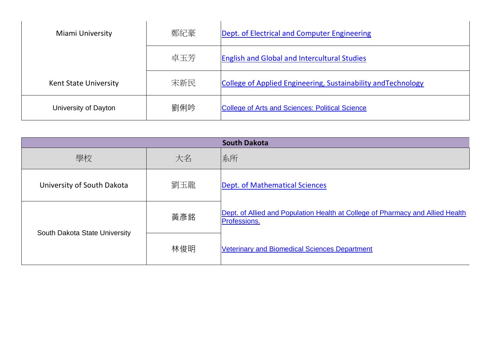| Miami University             | 鄭紀豪 | Dept. of Electrical and Computer Engineering                  |
|------------------------------|-----|---------------------------------------------------------------|
|                              | 卓玉芳 | <b>English and Global and Intercultural Studies</b>           |
| <b>Kent State University</b> | 宋新民 | College of Applied Engineering, Sustainability and Technology |
| University of Dayton         | 劉俐吟 | <b>College of Arts and Sciences: Political Science</b>        |

| <b>South Dakota</b>           |     |                                                                                                |  |  |
|-------------------------------|-----|------------------------------------------------------------------------------------------------|--|--|
| 學校                            | 大名  | 系所                                                                                             |  |  |
| University of South Dakota    | 劉玉龍 | Dept. of Mathematical Sciences                                                                 |  |  |
| South Dakota State University | 黃彥銘 | Dept. of Allied and Population Health at College of Pharmacy and Allied Health<br>Professions. |  |  |
|                               | 林俊明 | <b>Veterinary and Biomedical Sciences Department</b>                                           |  |  |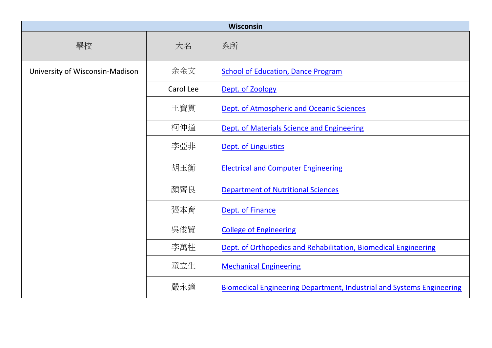| Wisconsin                       |           |                                                                              |  |  |
|---------------------------------|-----------|------------------------------------------------------------------------------|--|--|
| 學校                              | 大名        | 系所                                                                           |  |  |
| University of Wisconsin-Madison | 余金文       | <b>School of Education, Dance Program</b>                                    |  |  |
|                                 | Carol Lee | Dept. of Zoology                                                             |  |  |
|                                 | 王寶貫       | Dept. of Atmospheric and Oceanic Sciences                                    |  |  |
|                                 | 柯伸道       | Dept. of Materials Science and Engineering                                   |  |  |
|                                 | 李亞非       | Dept. of Linguistics                                                         |  |  |
|                                 | 胡玉衡       | <b>Electrical and Computer Engineering</b>                                   |  |  |
|                                 | 顏齊良       | <b>Department of Nutritional Sciences</b>                                    |  |  |
|                                 | 張本育       | Dept. of Finance                                                             |  |  |
|                                 | 吳俊賢       | <b>College of Engineering</b>                                                |  |  |
|                                 | 李萬柱       | Dept. of Orthopedics and Rehabilitation, Biomedical Engineering              |  |  |
|                                 | 童立生       | <b>Mechanical Engineering</b>                                                |  |  |
|                                 | 嚴永適       | <b>Biomedical Engineering Department, Industrial and Systems Engineering</b> |  |  |